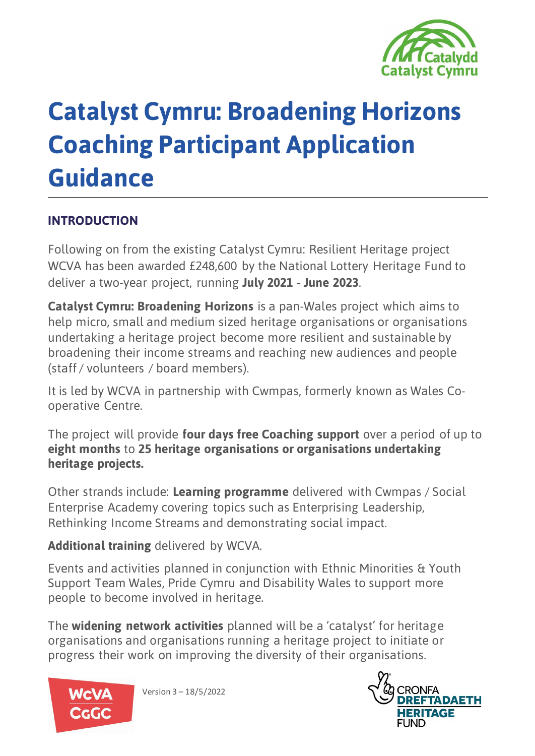

# **Catalyst Cymru: Broadening Horizons Coaching Participant Application Guidance**

### **INTRODUCTION**

Following on from the existing Catalyst Cymru: Resilient Heritage project WCVA has been awarded £248,600 by the National Lottery Heritage Fund to deliver a two-year project, running **July 2021 - June 2023**.

**Catalyst Cymru: Broadening Horizons** is a pan-Wales project which aims to help micro, small and medium sized heritage organisations or organisations undertaking a heritage project become more resilient and sustainable by broadening their income streams and reaching new audiences and people (staff / volunteers / board members).

It is led by WCVA in partnership with Cwmpas, formerly known as Wales Cooperative Centre.

The project will provide **four days free Coaching support** over a period of up to **eight months** to **25 heritage organisations or organisations undertaking heritage projects.**

Other strands include: **Learning programme** delivered with Cwmpas / Social Enterprise Academy covering topics such as Enterprising Leadership, Rethinking Income Streams and demonstrating social impact.

#### **Additional training** delivered by WCVA.

Events and activities planned in conjunction with Ethnic Minorities & Youth Support Team Wales, Pride Cymru and Disability Wales to support more people to become involved in heritage.

The **widening network activities** planned will be a 'catalyst' for heritage organisations and organisations running a heritage project to initiate or progress their work on improving the diversity of their organisations.



Version 3 – 18/5/2022

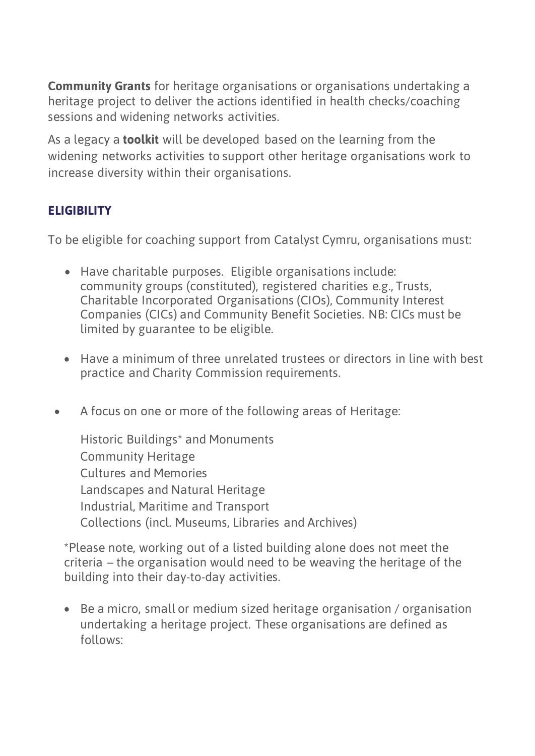**Community Grants** for heritage organisations or organisations undertaking a heritage project to deliver the actions identified in health checks/coaching sessions and widening networks activities.

As a legacy a **toolkit** will be developed based on the learning from the widening networks activities to support other heritage organisations work to increase diversity within their organisations.

### **ELIGIBILITY**

To be eligible for coaching support from Catalyst Cymru, organisations must:

- Have charitable purposes. Eligible organisations include: community groups (constituted), registered charities e.g., Trusts, Charitable Incorporated Organisations (CIOs), Community Interest Companies (CICs) and Community Benefit Societies. NB: CICs must be limited by guarantee to be eligible.
- Have a minimum of three unrelated trustees or directors in line with best practice and Charity Commission requirements.
- A focus on one or more of the following areas of Heritage:

Historic Buildings\* and Monuments Community Heritage Cultures and Memories Landscapes and Natural Heritage Industrial, Maritime and Transport Collections (incl. Museums, Libraries and Archives)

\*Please note, working out of a listed building alone does not meet the criteria – the organisation would need to be weaving the heritage of the building into their day-to-day activities.

• Be a micro, small or medium sized heritage organisation / organisation undertaking a heritage project. These organisations are defined as follows: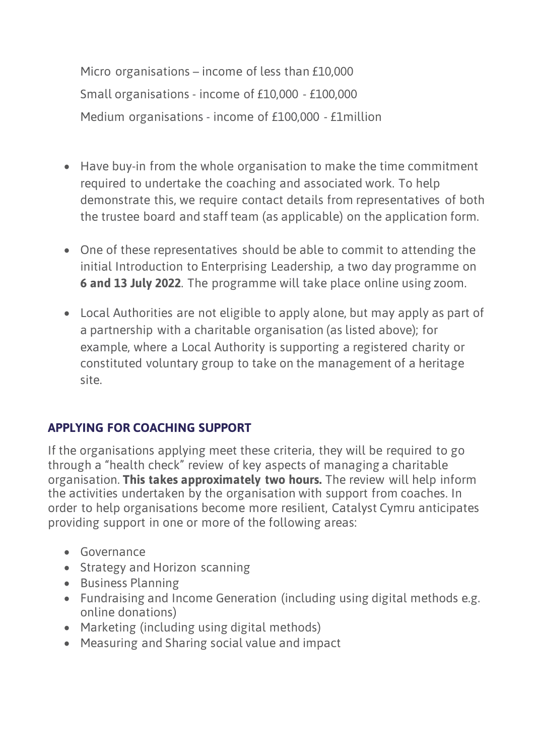Micro organisations – income of less than £10,000 Small organisations - income of £10,000 - £100,000 Medium organisations - income of £100,000 - £1million

- Have buy-in from the whole organisation to make the time commitment required to undertake the coaching and associated work. To help demonstrate this, we require contact details from representatives of both the trustee board and staff team (as applicable) on the application form.
- One of these representatives should be able to commit to attending the initial Introduction to Enterprising Leadership, a two day programme on **6 and 13 July 2022**. The programme will take place online using zoom.
- Local Authorities are not eligible to apply alone, but may apply as part of a partnership with a charitable organisation (as listed above); for example, where a Local Authority is supporting a registered charity or constituted voluntary group to take on the management of a heritage site.

### **APPLYING FOR COACHING SUPPORT**

If the organisations applying meet these criteria, they will be required to go through a "health check" review of key aspects of managing a charitable organisation. **This takes approximately two hours.** The review will help inform the activities undertaken by the organisation with support from coaches. In order to help organisations become more resilient, Catalyst Cymru anticipates providing support in one or more of the following areas:

- Governance
- Strategy and Horizon scanning
- Business Planning
- Fundraising and Income Generation (including using digital methods e.g. online donations)
- Marketing (including using digital methods)
- Measuring and Sharing social value and impact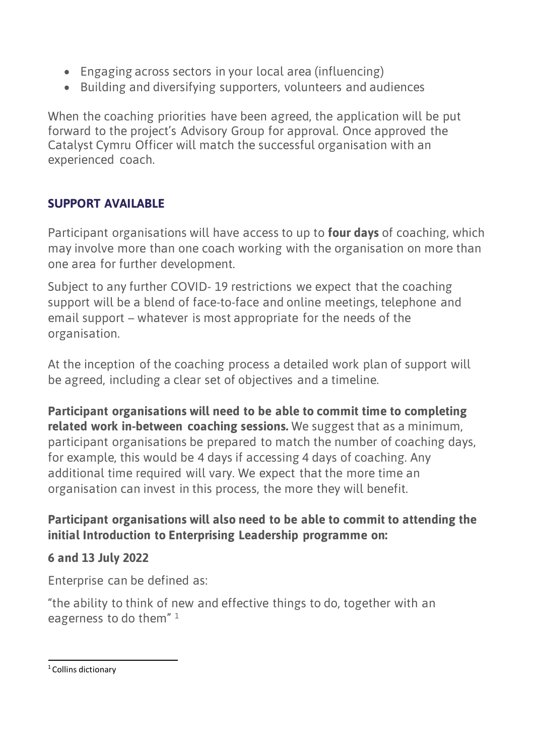- Engaging across sectors in your local area (influencing)
- Building and diversifying supporters, volunteers and audiences

When the coaching priorities have been agreed, the application will be put forward to the project's Advisory Group for approval. Once approved the Catalyst Cymru Officer will match the successful organisation with an experienced coach.

#### **SUPPORT AVAILABLE**

Participant organisations will have access to up to **four days** of coaching, which may involve more than one coach working with the organisation on more than one area for further development.

Subject to any further COVID- 19 restrictions we expect that the coaching support will be a blend of face-to-face and online meetings, telephone and email support – whatever is most appropriate for the needs of the organisation.

At the inception of the coaching process a detailed work plan of support will be agreed, including a clear set of objectives and a timeline.

**Participant organisations will need to be able to commit time to completing related work in-between coaching sessions.** We suggest that as a minimum, participant organisations be prepared to match the number of coaching days, for example, this would be 4 days if accessing 4 days of coaching. Any additional time required will vary. We expect that the more time an organisation can invest in this process, the more they will benefit.

#### **Participant organisations will also need to be able to commit to attending the initial Introduction to Enterprising Leadership programme on:**

#### **6 and 13 July 2022**

Enterprise can be defined as:

"the ability to think of new and effective things to do, together with an eagerness to do them"<sup>1</sup>

#### <span id="page-3-0"></span><sup>1</sup> Collins dictionary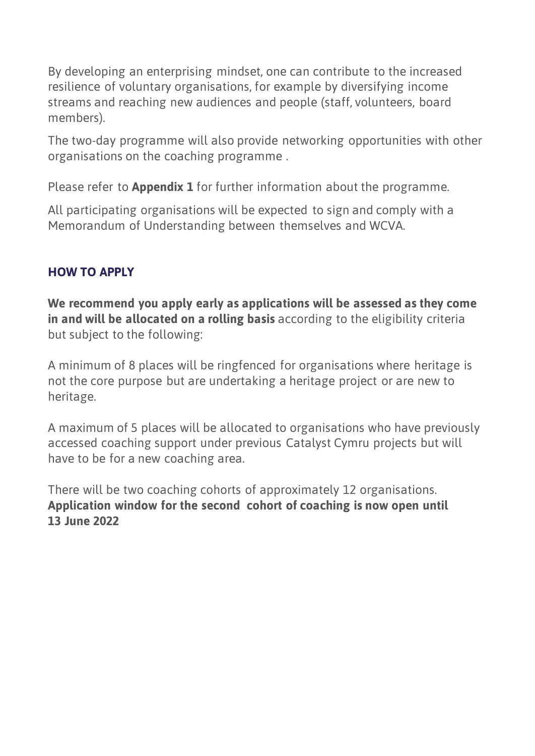By developing an enterprising mindset, one can contribute to the increased resilience of voluntary organisations, for example by diversifying income streams and reaching new audiences and people (staff, volunteers, board members).

The two-day programme will also provide networking opportunities with other organisations on the coaching programme .

Please refer to **Appendix 1** for further information about the programme.

All participating organisations will be expected to sign and comply with a Memorandum of Understanding between themselves and WCVA.

### **HOW TO APPLY**

**We recommend you apply early as applications will be assessed as they come in and will be allocated on a rolling basis** according to the eligibility criteria but subject to the following:

A minimum of 8 places will be ringfenced for organisations where heritage is not the core purpose but are undertaking a heritage project or are new to heritage.

A maximum of 5 places will be allocated to organisations who have previously accessed coaching support under previous Catalyst Cymru projects but will have to be for a new coaching area.

There will be two coaching cohorts of approximately 12 organisations. **Application window for the second cohort of coaching is now open until 13 June 2022**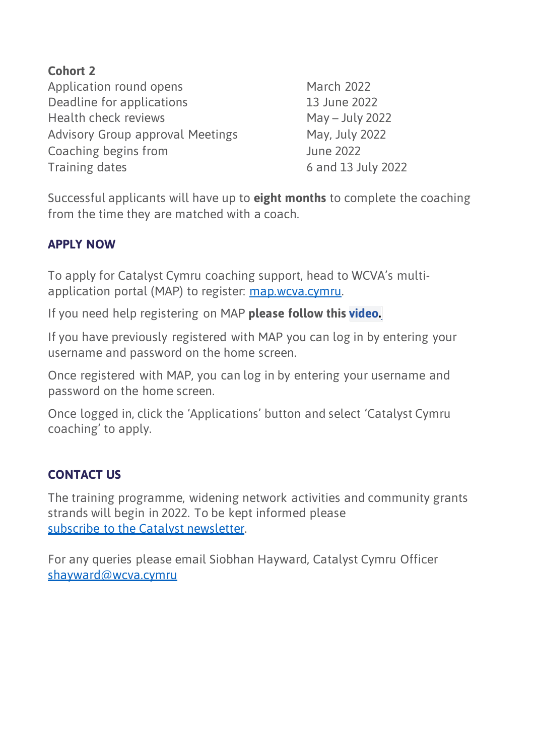**Cohort 2**  Application round opens March 2022 Deadline for applications 13 June 2022 Health check reviews May – July 2022 Advisory Group approval Meetings May, July 2022 Coaching begins from June 2022 Training dates 6 and 13 July 2022

Successful applicants will have up to **eight months** to complete the coaching from the time they are matched with a coach.

#### **APPLY NOW**

To apply for Catalyst Cymru coaching support, head to WCVA's multiapplication portal (MAP) to register: [map.wcva.cymru.](https://map.wcva.cymru/)

If you need help registering on MAP **please follow this [video.](https://www.youtube.com/watch?v=N3J-TbbeDjc)**

If you have previously registered with MAP you can log in by entering your username and password on the home screen.

Once registered with MAP, you can log in by entering your username and password on the home screen.

Once logged in, click the 'Applications' button and select 'Catalyst Cymru coaching' to apply.

#### **CONTACT US**

The training programme, widening network activities and community grants strands will begin in 2022. To be kept informed please [subscribe to the Catalyst newsletter.](http://eepurl.com/hd5Snv)

For any queries please email Siobhan Hayward, Catalyst Cymru Officer [shayward@wcva.cymru](mailto:shayward@wcva.cymru)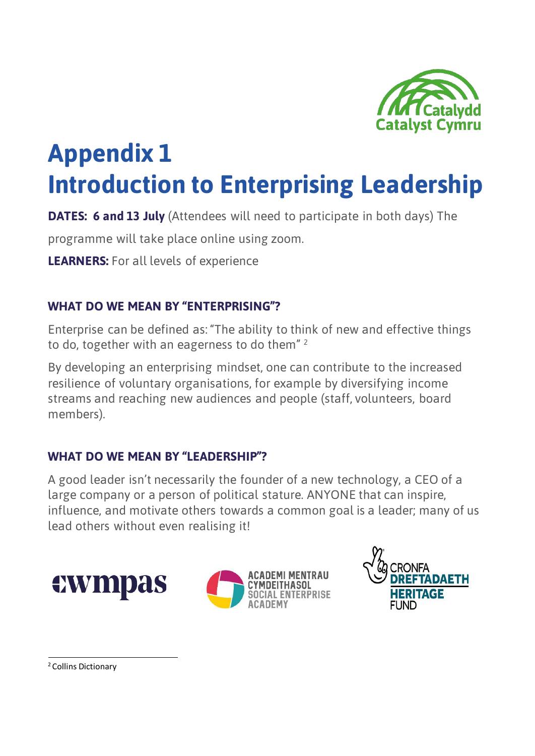

## **Appendix 1 Introduction to Enterprising Leadership**

**DATES: 6 and 13 July** (Attendees will need to participate in both days) The

programme will take place online using zoom.

**LEARNERS:** For all levels of experience

#### **WHAT DO WE MEAN BY "ENTERPRISING"?**

Enterprise can be defined as: "The ability to think of new and effective things to do, together with an eagerness to do them"<sup>2</sup>

By developing an enterprising mindset, one can contribute to the increased resilience of voluntary organisations, for example by diversifying income streams and reaching new audiences and people (staff, volunteers, board members).

#### **WHAT DO WE MEAN BY "LEADERSHIP"?**

A good leader isn't necessarily the founder of a new technology, a CEO of a large company or a person of political stature. ANYONE that can inspire, influence, and motivate others towards a common goal is a leader; many of us lead others without even realising it!







<span id="page-6-0"></span>2 Collins Dictionary